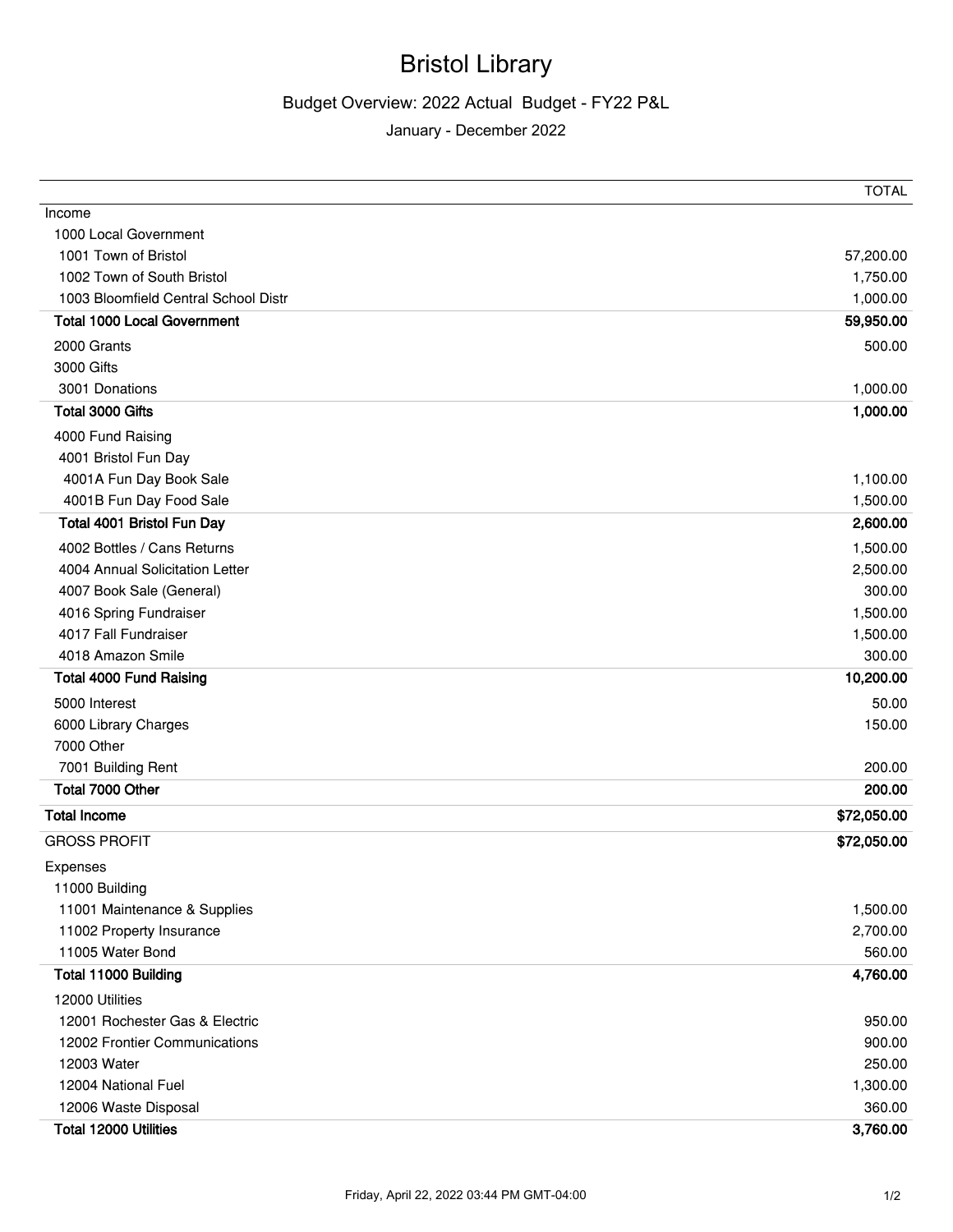## Bristol Library

## Budget Overview: 2022 Actual Budget - FY22 P&L

January - December 2022

|                                      | <b>TOTAL</b> |
|--------------------------------------|--------------|
| Income                               |              |
| 1000 Local Government                |              |
| 1001 Town of Bristol                 | 57,200.00    |
| 1002 Town of South Bristol           | 1,750.00     |
| 1003 Bloomfield Central School Distr | 1,000.00     |
| <b>Total 1000 Local Government</b>   | 59,950.00    |
| 2000 Grants                          | 500.00       |
| 3000 Gifts                           |              |
| 3001 Donations                       | 1,000.00     |
| Total 3000 Gifts                     | 1,000.00     |
| 4000 Fund Raising                    |              |
| 4001 Bristol Fun Day                 |              |
| 4001A Fun Day Book Sale              | 1,100.00     |
| 4001B Fun Day Food Sale              | 1,500.00     |
| Total 4001 Bristol Fun Day           | 2,600.00     |
| 4002 Bottles / Cans Returns          | 1,500.00     |
| 4004 Annual Solicitation Letter      | 2,500.00     |
| 4007 Book Sale (General)             | 300.00       |
| 4016 Spring Fundraiser               | 1,500.00     |
| 4017 Fall Fundraiser                 | 1,500.00     |
| 4018 Amazon Smile                    | 300.00       |
| <b>Total 4000 Fund Raising</b>       | 10,200.00    |
| 5000 Interest                        | 50.00        |
| 6000 Library Charges                 | 150.00       |
| 7000 Other                           |              |
| 7001 Building Rent                   | 200.00       |
| Total 7000 Other                     | 200.00       |
| <b>Total Income</b>                  | \$72,050.00  |
| <b>GROSS PROFIT</b>                  | \$72,050.00  |
| Expenses                             |              |
| 11000 Building                       |              |
| 11001 Maintenance & Supplies         | 1,500.00     |
| 11002 Property Insurance             | 2,700.00     |
| 11005 Water Bond                     | 560.00       |
| Total 11000 Building                 | 4,760.00     |
| 12000 Utilities                      |              |
| 12001 Rochester Gas & Electric       | 950.00       |
| 12002 Frontier Communications        | 900.00       |
| 12003 Water                          | 250.00       |
| 12004 National Fuel                  | 1,300.00     |
| 12006 Waste Disposal                 | 360.00       |
| Total 12000 Utilities                | 3,760.00     |